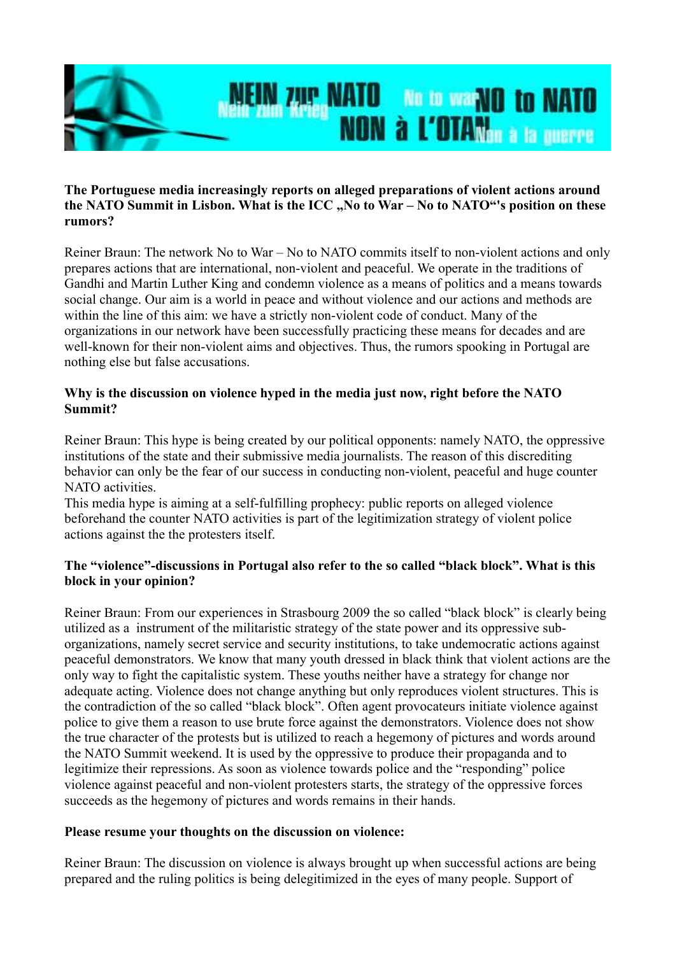

## **The Portuguese media increasingly reports on alleged preparations of violent actions around** the NATO Summit in Lisbon. What is the ICC ..No to War – No to NATO"'s position on these **rumors?**

Reiner Braun: The network No to War – No to NATO commits itself to non-violent actions and only prepares actions that are international, non-violent and peaceful. We operate in the traditions of Gandhi and Martin Luther King and condemn violence as a means of politics and a means towards social change. Our aim is a world in peace and without violence and our actions and methods are within the line of this aim: we have a strictly non-violent code of conduct. Many of the organizations in our network have been successfully practicing these means for decades and are well-known for their non-violent aims and objectives. Thus, the rumors spooking in Portugal are nothing else but false accusations.

## **Why is the discussion on violence hyped in the media just now, right before the NATO Summit?**

Reiner Braun: This hype is being created by our political opponents: namely NATO, the oppressive institutions of the state and their submissive media journalists. The reason of this discrediting behavior can only be the fear of our success in conducting non-violent, peaceful and huge counter NATO activities.

This media hype is aiming at a self-fulfilling prophecy: public reports on alleged violence beforehand the counter NATO activities is part of the legitimization strategy of violent police actions against the the protesters itself.

## **The "violence"-discussions in Portugal also refer to the so called "black block". What is this block in your opinion?**

Reiner Braun: From our experiences in Strasbourg 2009 the so called "black block" is clearly being utilized as a instrument of the militaristic strategy of the state power and its oppressive suborganizations, namely secret service and security institutions, to take undemocratic actions against peaceful demonstrators. We know that many youth dressed in black think that violent actions are the only way to fight the capitalistic system. These youths neither have a strategy for change nor adequate acting. Violence does not change anything but only reproduces violent structures. This is the contradiction of the so called "black block". Often agent provocateurs initiate violence against police to give them a reason to use brute force against the demonstrators. Violence does not show the true character of the protests but is utilized to reach a hegemony of pictures and words around the NATO Summit weekend. It is used by the oppressive to produce their propaganda and to legitimize their repressions. As soon as violence towards police and the "responding" police violence against peaceful and non-violent protesters starts, the strategy of the oppressive forces succeeds as the hegemony of pictures and words remains in their hands.

## **Please resume your thoughts on the discussion on violence:**

Reiner Braun: The discussion on violence is always brought up when successful actions are being prepared and the ruling politics is being delegitimized in the eyes of many people. Support of